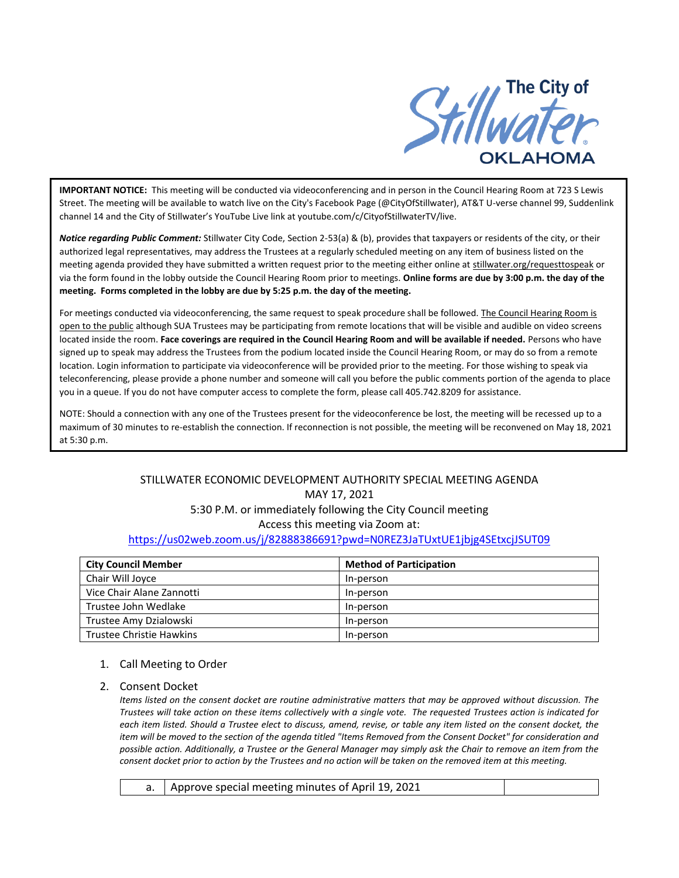

**IMPORTANT NOTICE:** This meeting will be conducted via videoconferencing and in person in the Council Hearing Room at 723 S Lewis Street. The meeting will be available to watch live on the City's Facebook Page (@CityOfStillwater), AT&T U-verse channel 99, Suddenlink channel 14 and the City of Stillwater's YouTube Live link at youtube.com/c/CityofStillwaterTV/live.

*Notice regarding Public Comment:* Stillwater City Code, Section 2-53(a) & (b), provides that taxpayers or residents of the city, or their authorized legal representatives, may address the Trustees at a regularly scheduled meeting on any item of business listed on the meeting agenda provided they have submitted a written request prior to the meeting either online at stillwater.org/requesttospeak or via the form found in the lobby outside the Council Hearing Room prior to meetings. **Online forms are due by 3:00 p.m. the day of the meeting. Forms completed in the lobby are due by 5:25 p.m. the day of the meeting.**

For meetings conducted via videoconferencing, the same request to speak procedure shall be followed. The Council Hearing Room is open to the public although SUA Trustees may be participating from remote locations that will be visible and audible on video screens located inside the room. **Face coverings are required in the Council Hearing Room and will be available if needed.** Persons who have signed up to speak may address the Trustees from the podium located inside the Council Hearing Room, or may do so from a remote location. Login information to participate via videoconference will be provided prior to the meeting. For those wishing to speak via teleconferencing, please provide a phone number and someone will call you before the public comments portion of the agenda to place you in a queue. If you do not have computer access to complete the form, please call 405.742.8209 for assistance.

NOTE: Should a connection with any one of the Trustees present for the videoconference be lost, the meeting will be recessed up to a maximum of 30 minutes to re-establish the connection. If reconnection is not possible, the meeting will be reconvened on May 18, 2021 at 5:30 p.m.

# STILLWATER ECONOMIC DEVELOPMENT AUTHORITY SPECIAL MEETING AGENDA MAY 17, 2021 5:30 P.M. or immediately following the City Council meeting Access this meeting via Zoom at: <https://us02web.zoom.us/j/82888386691?pwd=N0REZ3JaTUxtUE1jbjg4SEtxcjJSUT09>

| <b>City Council Member</b> | <b>Method of Participation</b> |
|----------------------------|--------------------------------|
| Chair Will Joyce           | In-person                      |
| Vice Chair Alane Zannotti  | In-person                      |
| Trustee John Wedlake       | In-person                      |
| Trustee Amy Dzialowski     | In-person                      |
| Trustee Christie Hawkins   | In-person                      |

### 1. Call Meeting to Order

### 2. Consent Docket

*Items listed on the consent docket are routine administrative matters that may be approved without discussion. The Trustees will take action on these items collectively with a single vote. The requested Trustees action is indicated for each item listed. Should a Trustee elect to discuss, amend, revise, or table any item listed on the consent docket, the item will be moved to the section of the agenda titled "Items Removed from the Consent Docket" for consideration and possible action. Additionally, a Trustee or the General Manager may simply ask the Chair to remove an item from the consent docket prior to action by the Trustees and no action will be taken on the removed item at this meeting.*